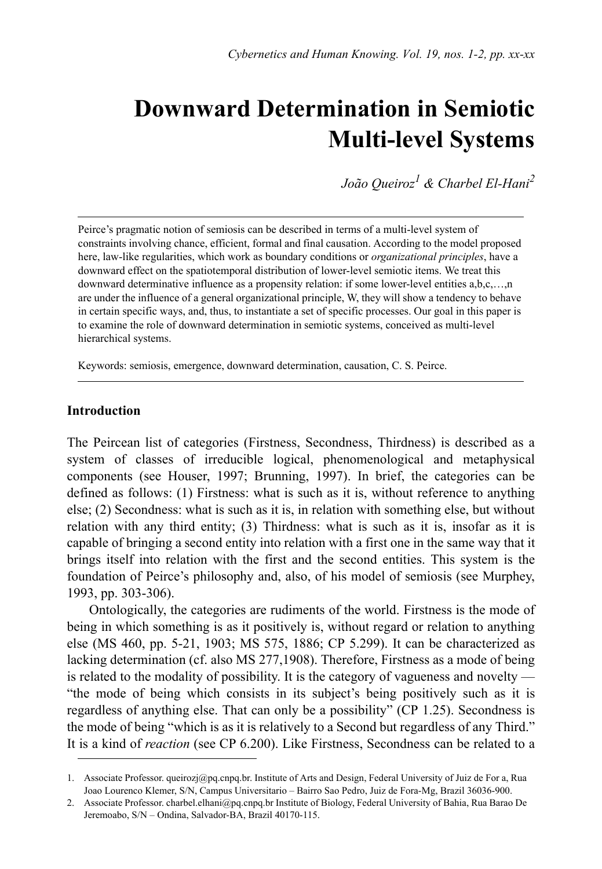# **Downward Determination in Semiotic Multi-level Systems**

*João Queiroz1 & Charbel El-Hani2*

Peirce's pragmatic notion of semiosis can be described in terms of a multi-level system of constraints involving chance, efficient, formal and final causation. According to the model proposed here, law-like regularities, which work as boundary conditions or *organizational principles*, have a downward effect on the spatiotemporal distribution of lower-level semiotic items. We treat this downward determinative influence as a propensity relation: if some lower-level entities a,b,c,...,n are under the influence of a general organizational principle, W, they will show a tendency to behave in certain specific ways, and, thus, to instantiate a set of specific processes. Our goal in this paper is to examine the role of downward determination in semiotic systems, conceived as multi-level hierarchical systems.

Keywords: semiosis, emergence, downward determination, causation, C. S. Peirce.

# **Introduction**

The Peircean list of categories (Firstness, Secondness, Thirdness) is described as a system of classes of irreducible logical, phenomenological and metaphysical components (see Houser, 1997; Brunning, 1997). In brief, the categories can be defined as follows: (1) Firstness: what is such as it is, without reference to anything else; (2) Secondness: what is such as it is, in relation with something else, but without relation with any third entity; (3) Thirdness: what is such as it is, insofar as it is capable of bringing a second entity into relation with a first one in the same way that it brings itself into relation with the first and the second entities. This system is the foundation of Peirce's philosophy and, also, of his model of semiosis (see Murphey, 1993, pp. 303-306).

Ontologically, the categories are rudiments of the world. Firstness is the mode of being in which something is as it positively is, without regard or relation to anything else (MS 460, pp. 5-21, 1903; MS 575, 1886; CP 5.299). It can be characterized as lacking determination (cf. also MS 277,1908). Therefore, Firstness as a mode of being is related to the modality of possibility. It is the category of vagueness and novelty — "the mode of being which consists in its subject's being positively such as it is regardless of anything else. That can only be a possibility" (CP 1.25). Secondness is the mode of being "which is as it is relatively to a Second but regardless of any Third." It is a kind of *reaction* (see CP 6.200). Like Firstness, Secondness can be related to a

<sup>1.</sup> Associate Professor. queirozj@pq.cnpq.br. Institute of Arts and Design, Federal University of Juiz de For a, Rua Joao Lourenco Klemer, S/N, Campus Universitario – Bairro Sao Pedro, Juiz de Fora-Mg, Brazil 36036-900.

<sup>2.</sup> Associate Professor. charbel.elhani@pq.cnpq.br Institute of Biology, Federal University of Bahia, Rua Barao De Jeremoabo, S/N – Ondina, Salvador-BA, Brazil 40170-115.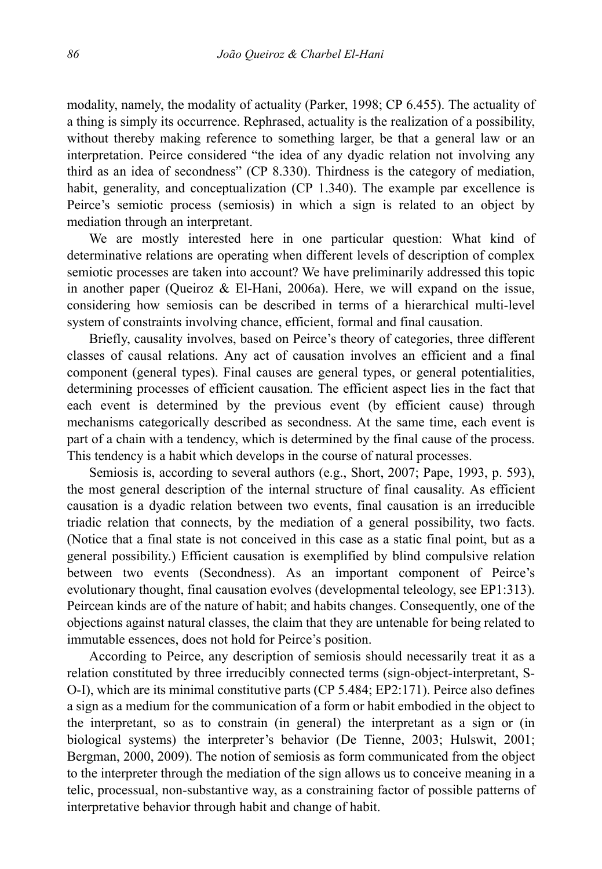modality, namely, the modality of actuality (Parker, 1998; CP 6.455). The actuality of a thing is simply its occurrence. Rephrased, actuality is the realization of a possibility, without thereby making reference to something larger, be that a general law or an interpretation. Peirce considered "the idea of any dyadic relation not involving any third as an idea of secondness" (CP 8.330). Thirdness is the category of mediation, habit, generality, and conceptualization (CP 1.340). The example par excellence is Peirce's semiotic process (semiosis) in which a sign is related to an object by mediation through an interpretant.

We are mostly interested here in one particular question: What kind of determinative relations are operating when different levels of description of complex semiotic processes are taken into account? We have preliminarily addressed this topic in another paper (Queiroz & El-Hani, 2006a). Here, we will expand on the issue, considering how semiosis can be described in terms of a hierarchical multi-level system of constraints involving chance, efficient, formal and final causation.

Briefly, causality involves, based on Peirce's theory of categories, three different classes of causal relations. Any act of causation involves an efficient and a final component (general types). Final causes are general types, or general potentialities, determining processes of efficient causation. The efficient aspect lies in the fact that each event is determined by the previous event (by efficient cause) through mechanisms categorically described as secondness. At the same time, each event is part of a chain with a tendency, which is determined by the final cause of the process. This tendency is a habit which develops in the course of natural processes.

Semiosis is, according to several authors (e.g., Short, 2007; Pape, 1993, p. 593), the most general description of the internal structure of final causality. As efficient causation is a dyadic relation between two events, final causation is an irreducible triadic relation that connects, by the mediation of a general possibility, two facts. (Notice that a final state is not conceived in this case as a static final point, but as a general possibility.) Efficient causation is exemplified by blind compulsive relation between two events (Secondness). As an important component of Peirce's evolutionary thought, final causation evolves (developmental teleology, see EP1:313). Peircean kinds are of the nature of habit; and habits changes. Consequently, one of the objections against natural classes, the claim that they are untenable for being related to immutable essences, does not hold for Peirce's position.

According to Peirce, any description of semiosis should necessarily treat it as a relation constituted by three irreducibly connected terms (sign-object-interpretant, S-O-I), which are its minimal constitutive parts (CP 5.484; EP2:171). Peirce also defines a sign as a medium for the communication of a form or habit embodied in the object to the interpretant, so as to constrain (in general) the interpretant as a sign or (in biological systems) the interpreter's behavior (De Tienne, 2003; Hulswit, 2001; Bergman, 2000, 2009). The notion of semiosis as form communicated from the object to the interpreter through the mediation of the sign allows us to conceive meaning in a telic, processual, non-substantive way, as a constraining factor of possible patterns of interpretative behavior through habit and change of habit.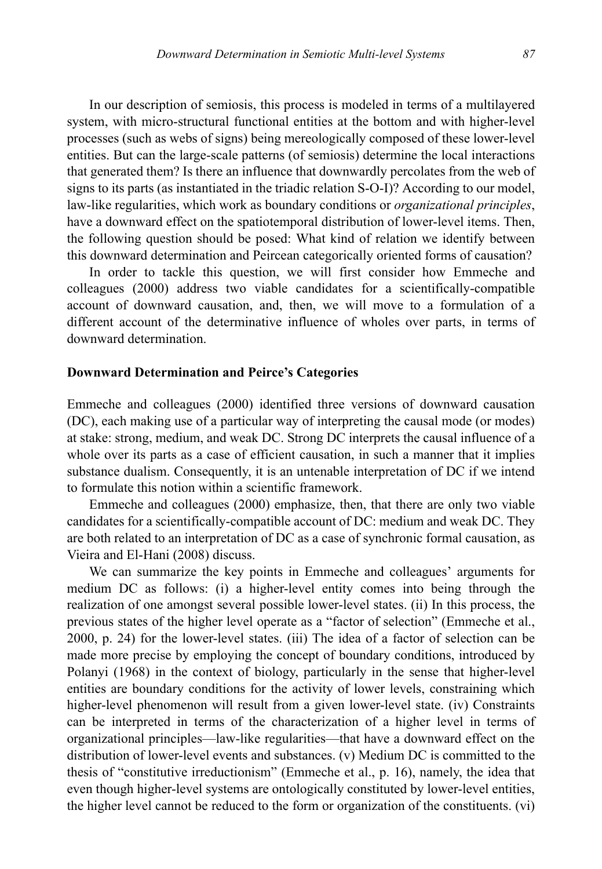In our description of semiosis, this process is modeled in terms of a multilayered system, with micro-structural functional entities at the bottom and with higher-level processes (such as webs of signs) being mereologically composed of these lower-level entities. But can the large-scale patterns (of semiosis) determine the local interactions that generated them? Is there an influence that downwardly percolates from the web of signs to its parts (as instantiated in the triadic relation S-O-I)? According to our model, law-like regularities, which work as boundary conditions or *organizational principles*, have a downward effect on the spatiotemporal distribution of lower-level items. Then, the following question should be posed: What kind of relation we identify between this downward determination and Peircean categorically oriented forms of causation?

In order to tackle this question, we will first consider how Emmeche and colleagues (2000) address two viable candidates for a scientifically-compatible account of downward causation, and, then, we will move to a formulation of a different account of the determinative influence of wholes over parts, in terms of downward determination.

## **Downward Determination and Peirce's Categories**

Emmeche and colleagues (2000) identified three versions of downward causation (DC), each making use of a particular way of interpreting the causal mode (or modes) at stake: strong, medium, and weak DC. Strong DC interprets the causal influence of a whole over its parts as a case of efficient causation, in such a manner that it implies substance dualism. Consequently, it is an untenable interpretation of DC if we intend to formulate this notion within a scientific framework.

Emmeche and colleagues (2000) emphasize, then, that there are only two viable candidates for a scientifically-compatible account of DC: medium and weak DC. They are both related to an interpretation of DC as a case of synchronic formal causation, as Vieira and El-Hani (2008) discuss.

We can summarize the key points in Emmeche and colleagues' arguments for medium DC as follows: (i) a higher-level entity comes into being through the realization of one amongst several possible lower-level states. (ii) In this process, the previous states of the higher level operate as a "factor of selection" (Emmeche et al., 2000, p. 24) for the lower-level states. (iii) The idea of a factor of selection can be made more precise by employing the concept of boundary conditions, introduced by Polanyi (1968) in the context of biology, particularly in the sense that higher-level entities are boundary conditions for the activity of lower levels, constraining which higher-level phenomenon will result from a given lower-level state. (iv) Constraints can be interpreted in terms of the characterization of a higher level in terms of organizational principles—law-like regularities—that have a downward effect on the distribution of lower-level events and substances. (v) Medium DC is committed to the thesis of "constitutive irreductionism" (Emmeche et al., p. 16), namely, the idea that even though higher-level systems are ontologically constituted by lower-level entities, the higher level cannot be reduced to the form or organization of the constituents. (vi)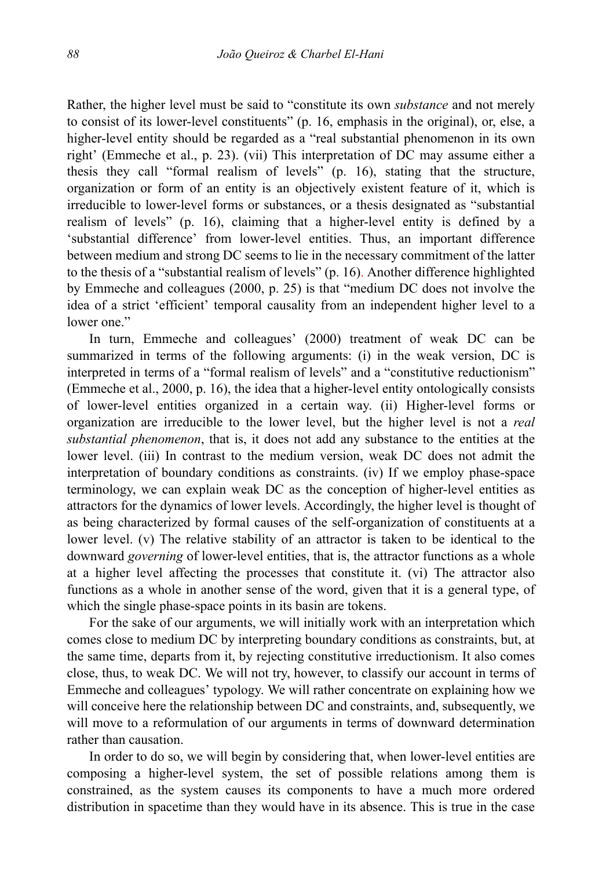Rather, the higher level must be said to "constitute its own *substance* and not merely to consist of its lower-level constituents" (p. 16, emphasis in the original), or, else, a higher-level entity should be regarded as a "real substantial phenomenon in its own right' (Emmeche et al., p. 23). (vii) This interpretation of DC may assume either a thesis they call "formal realism of levels" (p. 16), stating that the structure, organization or form of an entity is an objectively existent feature of it, which is irreducible to lower-level forms or substances, or a thesis designated as "substantial realism of levels" (p. 16), claiming that a higher-level entity is defined by a 'substantial difference' from lower-level entities. Thus, an important difference between medium and strong DC seems to lie in the necessary commitment of the latter to the thesis of a "substantial realism of levels" (p. 16). Another difference highlighted by Emmeche and colleagues (2000, p. 25) is that "medium DC does not involve the idea of a strict 'efficient' temporal causality from an independent higher level to a lower one."

In turn, Emmeche and colleagues' (2000) treatment of weak DC can be summarized in terms of the following arguments: (i) in the weak version, DC is interpreted in terms of a "formal realism of levels" and a "constitutive reductionism" (Emmeche et al., 2000, p. 16), the idea that a higher-level entity ontologically consists of lower-level entities organized in a certain way. (ii) Higher-level forms or organization are irreducible to the lower level, but the higher level is not a *real substantial phenomenon*, that is, it does not add any substance to the entities at the lower level. (iii) In contrast to the medium version, weak DC does not admit the interpretation of boundary conditions as constraints. (iv) If we employ phase-space terminology, we can explain weak DC as the conception of higher-level entities as attractors for the dynamics of lower levels. Accordingly, the higher level is thought of as being characterized by formal causes of the self-organization of constituents at a lower level. (v) The relative stability of an attractor is taken to be identical to the downward *governing* of lower-level entities, that is, the attractor functions as a whole at a higher level affecting the processes that constitute it. (vi) The attractor also functions as a whole in another sense of the word, given that it is a general type, of which the single phase-space points in its basin are tokens.

For the sake of our arguments, we will initially work with an interpretation which comes close to medium DC by interpreting boundary conditions as constraints, but, at the same time, departs from it, by rejecting constitutive irreductionism. It also comes close, thus, to weak DC. We will not try, however, to classify our account in terms of Emmeche and colleagues' typology. We will rather concentrate on explaining how we will conceive here the relationship between DC and constraints, and, subsequently, we will move to a reformulation of our arguments in terms of downward determination rather than causation.

In order to do so, we will begin by considering that, when lower-level entities are composing a higher-level system, the set of possible relations among them is constrained, as the system causes its components to have a much more ordered distribution in spacetime than they would have in its absence. This is true in the case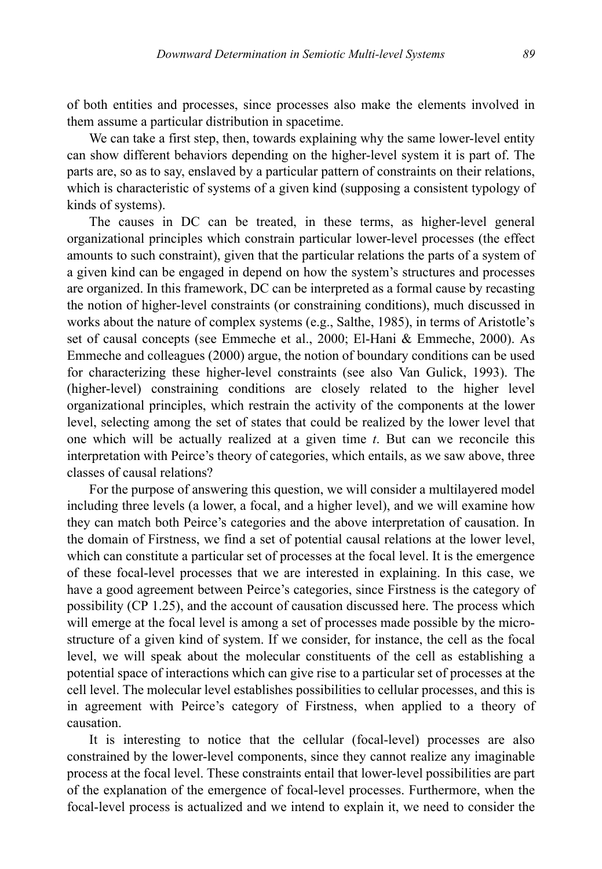of both entities and processes, since processes also make the elements involved in them assume a particular distribution in spacetime.

We can take a first step, then, towards explaining why the same lower-level entity can show different behaviors depending on the higher-level system it is part of. The parts are, so as to say, enslaved by a particular pattern of constraints on their relations, which is characteristic of systems of a given kind (supposing a consistent typology of kinds of systems).

The causes in DC can be treated, in these terms, as higher-level general organizational principles which constrain particular lower-level processes (the effect amounts to such constraint), given that the particular relations the parts of a system of a given kind can be engaged in depend on how the system's structures and processes are organized. In this framework, DC can be interpreted as a formal cause by recasting the notion of higher-level constraints (or constraining conditions), much discussed in works about the nature of complex systems (e.g., Salthe, 1985), in terms of Aristotle's set of causal concepts (see Emmeche et al., 2000; El-Hani & Emmeche, 2000). As Emmeche and colleagues (2000) argue, the notion of boundary conditions can be used for characterizing these higher-level constraints (see also Van Gulick, 1993). The (higher-level) constraining conditions are closely related to the higher level organizational principles, which restrain the activity of the components at the lower level, selecting among the set of states that could be realized by the lower level that one which will be actually realized at a given time *t*. But can we reconcile this interpretation with Peirce's theory of categories, which entails, as we saw above, three classes of causal relations?

For the purpose of answering this question, we will consider a multilayered model including three levels (a lower, a focal, and a higher level), and we will examine how they can match both Peirce's categories and the above interpretation of causation. In the domain of Firstness, we find a set of potential causal relations at the lower level, which can constitute a particular set of processes at the focal level. It is the emergence of these focal-level processes that we are interested in explaining. In this case, we have a good agreement between Peirce's categories, since Firstness is the category of possibility (CP 1.25), and the account of causation discussed here. The process which will emerge at the focal level is among a set of processes made possible by the microstructure of a given kind of system. If we consider, for instance, the cell as the focal level, we will speak about the molecular constituents of the cell as establishing a potential space of interactions which can give rise to a particular set of processes at the cell level. The molecular level establishes possibilities to cellular processes, and this is in agreement with Peirce's category of Firstness, when applied to a theory of causation.

It is interesting to notice that the cellular (focal-level) processes are also constrained by the lower-level components, since they cannot realize any imaginable process at the focal level. These constraints entail that lower-level possibilities are part of the explanation of the emergence of focal-level processes. Furthermore, when the focal-level process is actualized and we intend to explain it, we need to consider the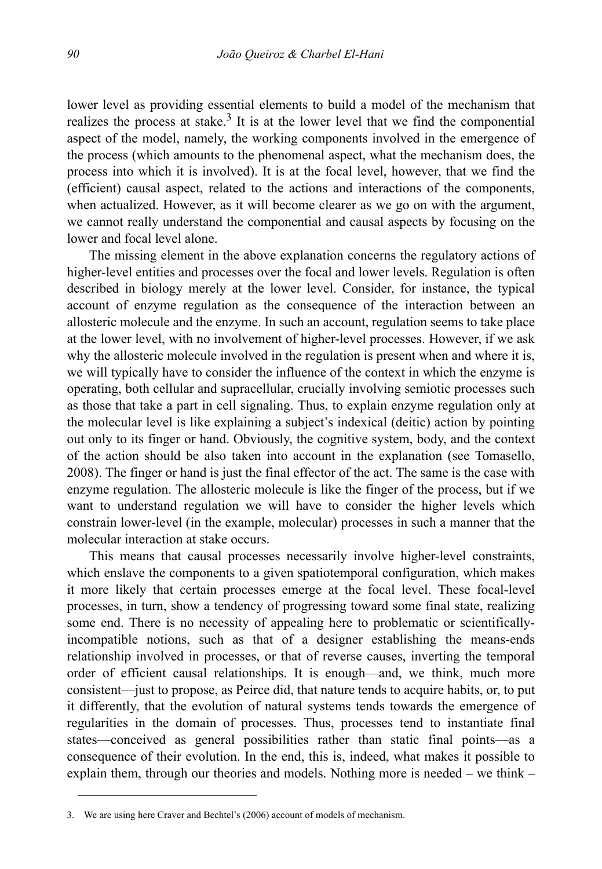lower level as providing essential elements to build a model of the mechanism that realizes the process at stake.<sup>3</sup> It is at the lower level that we find the componential aspect of the model, namely, the working components involved in the emergence of the process (which amounts to the phenomenal aspect, what the mechanism does, the process into which it is involved). It is at the focal level, however, that we find the (efficient) causal aspect, related to the actions and interactions of the components, when actualized. However, as it will become clearer as we go on with the argument, we cannot really understand the componential and causal aspects by focusing on the lower and focal level alone.

The missing element in the above explanation concerns the regulatory actions of higher-level entities and processes over the focal and lower levels. Regulation is often described in biology merely at the lower level. Consider, for instance, the typical account of enzyme regulation as the consequence of the interaction between an allosteric molecule and the enzyme. In such an account, regulation seems to take place at the lower level, with no involvement of higher-level processes. However, if we ask why the allosteric molecule involved in the regulation is present when and where it is, we will typically have to consider the influence of the context in which the enzyme is operating, both cellular and supracellular, crucially involving semiotic processes such as those that take a part in cell signaling. Thus, to explain enzyme regulation only at the molecular level is like explaining a subject's indexical (deitic) action by pointing out only to its finger or hand. Obviously, the cognitive system, body, and the context of the action should be also taken into account in the explanation (see Tomasello, 2008). The finger or hand is just the final effector of the act. The same is the case with enzyme regulation. The allosteric molecule is like the finger of the process, but if we want to understand regulation we will have to consider the higher levels which constrain lower-level (in the example, molecular) processes in such a manner that the molecular interaction at stake occurs.

This means that causal processes necessarily involve higher-level constraints, which enslave the components to a given spatiotemporal configuration, which makes it more likely that certain processes emerge at the focal level. These focal-level processes, in turn, show a tendency of progressing toward some final state, realizing some end. There is no necessity of appealing here to problematic or scientificallyincompatible notions, such as that of a designer establishing the means-ends relationship involved in processes, or that of reverse causes, inverting the temporal order of efficient causal relationships. It is enough—and, we think, much more consistent—just to propose, as Peirce did, that nature tends to acquire habits, or, to put it differently, that the evolution of natural systems tends towards the emergence of regularities in the domain of processes. Thus, processes tend to instantiate final states—conceived as general possibilities rather than static final points—as a consequence of their evolution. In the end, this is, indeed, what makes it possible to explain them, through our theories and models. Nothing more is needed – we think –

<sup>3.</sup> We are using here Craver and Bechtel's (2006) account of models of mechanism.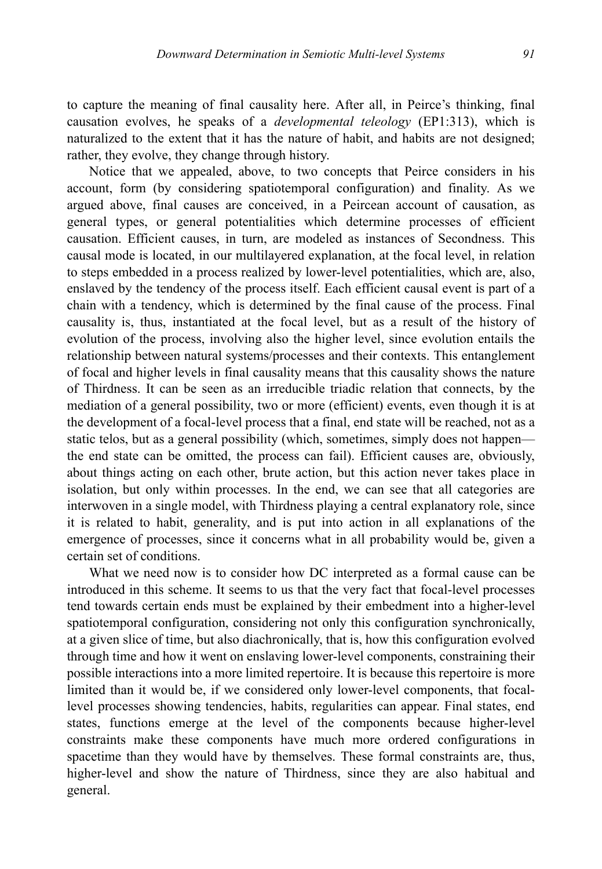to capture the meaning of final causality here. After all, in Peirce's thinking, final causation evolves, he speaks of a *developmental teleology* (EP1:313), which is naturalized to the extent that it has the nature of habit, and habits are not designed; rather, they evolve, they change through history.

Notice that we appealed, above, to two concepts that Peirce considers in his account, form (by considering spatiotemporal configuration) and finality. As we argued above, final causes are conceived, in a Peircean account of causation, as general types, or general potentialities which determine processes of efficient causation. Efficient causes, in turn, are modeled as instances of Secondness. This causal mode is located, in our multilayered explanation, at the focal level, in relation to steps embedded in a process realized by lower-level potentialities, which are, also, enslaved by the tendency of the process itself. Each efficient causal event is part of a chain with a tendency, which is determined by the final cause of the process. Final causality is, thus, instantiated at the focal level, but as a result of the history of evolution of the process, involving also the higher level, since evolution entails the relationship between natural systems/processes and their contexts. This entanglement of focal and higher levels in final causality means that this causality shows the nature of Thirdness. It can be seen as an irreducible triadic relation that connects, by the mediation of a general possibility, two or more (efficient) events, even though it is at the development of a focal-level process that a final, end state will be reached, not as a static telos, but as a general possibility (which, sometimes, simply does not happen the end state can be omitted, the process can fail). Efficient causes are, obviously, about things acting on each other, brute action, but this action never takes place in isolation, but only within processes. In the end, we can see that all categories are interwoven in a single model, with Thirdness playing a central explanatory role, since it is related to habit, generality, and is put into action in all explanations of the emergence of processes, since it concerns what in all probability would be, given a certain set of conditions.

What we need now is to consider how DC interpreted as a formal cause can be introduced in this scheme. It seems to us that the very fact that focal-level processes tend towards certain ends must be explained by their embedment into a higher-level spatiotemporal configuration, considering not only this configuration synchronically, at a given slice of time, but also diachronically, that is, how this configuration evolved through time and how it went on enslaving lower-level components, constraining their possible interactions into a more limited repertoire. It is because this repertoire is more limited than it would be, if we considered only lower-level components, that focallevel processes showing tendencies, habits, regularities can appear. Final states, end states, functions emerge at the level of the components because higher-level constraints make these components have much more ordered configurations in spacetime than they would have by themselves. These formal constraints are, thus, higher-level and show the nature of Thirdness, since they are also habitual and general.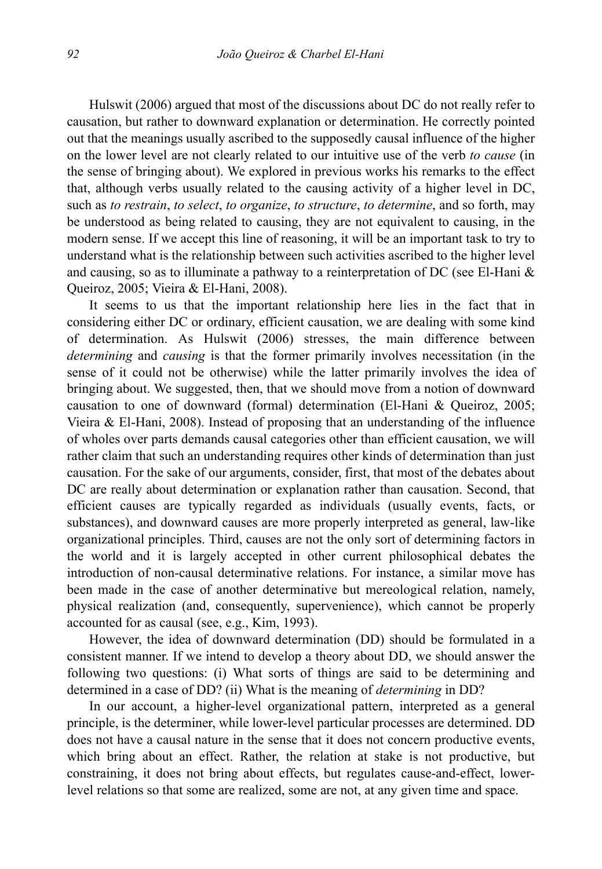Hulswit (2006) argued that most of the discussions about DC do not really refer to causation, but rather to downward explanation or determination. He correctly pointed out that the meanings usually ascribed to the supposedly causal influence of the higher on the lower level are not clearly related to our intuitive use of the verb *to cause* (in the sense of bringing about). We explored in previous works his remarks to the effect that, although verbs usually related to the causing activity of a higher level in DC, such as *to restrain*, *to select*, *to organize*, *to structure*, *to determine*, and so forth, may be understood as being related to causing, they are not equivalent to causing, in the modern sense. If we accept this line of reasoning, it will be an important task to try to understand what is the relationship between such activities ascribed to the higher level and causing, so as to illuminate a pathway to a reinterpretation of DC (see El-Hani & Queiroz, 2005; Vieira & El-Hani, 2008).

It seems to us that the important relationship here lies in the fact that in considering either DC or ordinary, efficient causation, we are dealing with some kind of determination. As Hulswit (2006) stresses, the main difference between *determining* and *causing* is that the former primarily involves necessitation (in the sense of it could not be otherwise) while the latter primarily involves the idea of bringing about. We suggested, then, that we should move from a notion of downward causation to one of downward (formal) determination (El-Hani & Queiroz, 2005; Vieira & El-Hani, 2008). Instead of proposing that an understanding of the influence of wholes over parts demands causal categories other than efficient causation, we will rather claim that such an understanding requires other kinds of determination than just causation. For the sake of our arguments, consider, first, that most of the debates about DC are really about determination or explanation rather than causation. Second, that efficient causes are typically regarded as individuals (usually events, facts, or substances), and downward causes are more properly interpreted as general, law-like organizational principles. Third, causes are not the only sort of determining factors in the world and it is largely accepted in other current philosophical debates the introduction of non-causal determinative relations. For instance, a similar move has been made in the case of another determinative but mereological relation, namely, physical realization (and, consequently, supervenience), which cannot be properly accounted for as causal (see, e.g., Kim, 1993).

However, the idea of downward determination (DD) should be formulated in a consistent manner. If we intend to develop a theory about DD, we should answer the following two questions: (i) What sorts of things are said to be determining and determined in a case of DD? (ii) What is the meaning of *determining* in DD?

In our account, a higher-level organizational pattern, interpreted as a general principle, is the determiner, while lower-level particular processes are determined. DD does not have a causal nature in the sense that it does not concern productive events, which bring about an effect. Rather, the relation at stake is not productive, but constraining, it does not bring about effects, but regulates cause-and-effect, lowerlevel relations so that some are realized, some are not, at any given time and space.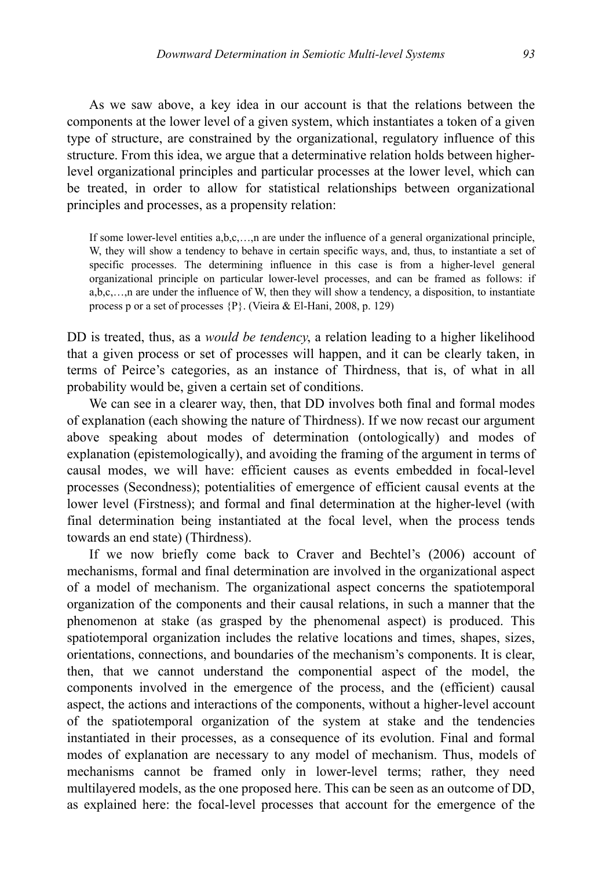As we saw above, a key idea in our account is that the relations between the components at the lower level of a given system, which instantiates a token of a given type of structure, are constrained by the organizational, regulatory influence of this structure. From this idea, we argue that a determinative relation holds between higherlevel organizational principles and particular processes at the lower level, which can be treated, in order to allow for statistical relationships between organizational principles and processes, as a propensity relation:

If some lower-level entities a,b,c,…,n are under the influence of a general organizational principle, W, they will show a tendency to behave in certain specific ways, and, thus, to instantiate a set of specific processes. The determining influence in this case is from a higher-level general organizational principle on particular lower-level processes, and can be framed as follows: if  $a, b, c, \ldots, n$  are under the influence of W, then they will show a tendency, a disposition, to instantiate process p or a set of processes {P}. (Vieira & El-Hani, 2008, p. 129)

DD is treated, thus, as a *would be tendency*, a relation leading to a higher likelihood that a given process or set of processes will happen, and it can be clearly taken, in terms of Peirce's categories, as an instance of Thirdness, that is, of what in all probability would be, given a certain set of conditions.

We can see in a clearer way, then, that DD involves both final and formal modes of explanation (each showing the nature of Thirdness). If we now recast our argument above speaking about modes of determination (ontologically) and modes of explanation (epistemologically), and avoiding the framing of the argument in terms of causal modes, we will have: efficient causes as events embedded in focal-level processes (Secondness); potentialities of emergence of efficient causal events at the lower level (Firstness); and formal and final determination at the higher-level (with final determination being instantiated at the focal level, when the process tends towards an end state) (Thirdness).

If we now briefly come back to Craver and Bechtel's (2006) account of mechanisms, formal and final determination are involved in the organizational aspect of a model of mechanism. The organizational aspect concerns the spatiotemporal organization of the components and their causal relations, in such a manner that the phenomenon at stake (as grasped by the phenomenal aspect) is produced. This spatiotemporal organization includes the relative locations and times, shapes, sizes, orientations, connections, and boundaries of the mechanism's components. It is clear, then, that we cannot understand the componential aspect of the model, the components involved in the emergence of the process, and the (efficient) causal aspect, the actions and interactions of the components, without a higher-level account of the spatiotemporal organization of the system at stake and the tendencies instantiated in their processes, as a consequence of its evolution. Final and formal modes of explanation are necessary to any model of mechanism. Thus, models of mechanisms cannot be framed only in lower-level terms; rather, they need multilayered models, as the one proposed here. This can be seen as an outcome of DD, as explained here: the focal-level processes that account for the emergence of the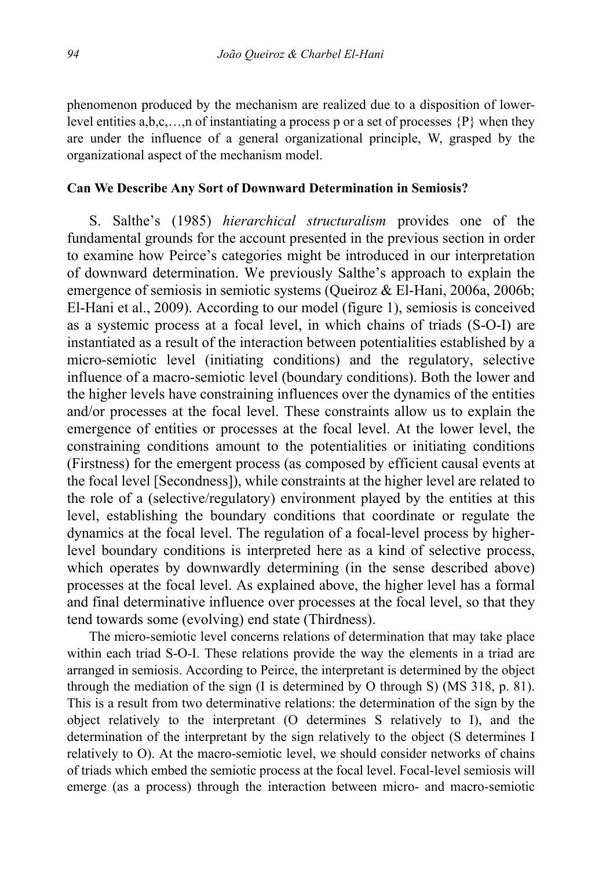phenomenon produced by the mechanism are realized due to a disposition of lowerlevel entities  $a,b,c,...,n$  of instantiating a process p or a set of processes  $\{P\}$  when they are under the influence of a general organizational principle, W, grasped by the organizational aspect of the mechanism model.

#### **Can We Describe Any Sort of Downward Determination in Semiosis?**

S. Salthe's (1985) *hierarchical structuralism* provides one of the fundamental grounds for the account presented in the previous section in order to examine how Peirce's categories might be introduced in our interpretation of downward determination. We previously Salthe's approach to explain the emergence of semiosis in semiotic systems (Queiroz & El-Hani, 2006a, 2006b; El-Hani et al., 2009). According to our model (figure 1), semiosis is conceived as a systemic process at a focal level, in which chains of triads (S-O-I) are instantiated as a result of the interaction between potentialities established by a micro-semiotic level (initiating conditions) and the regulatory, selective influence of a macro-semiotic level (boundary conditions). Both the lower and the higher levels have constraining influences over the dynamics of the entities and/or processes at the focal level. These constraints allow us to explain the emergence of entities or processes at the focal level. At the lower level, the constraining conditions amount to the potentialities or initiating conditions (Firstness) for the emergent process (as composed by efficient causal events at the focal level [Secondness]), while constraints at the higher level are related to the role of a (selective/regulatory) environment played by the entities at this level, establishing the boundary conditions that coordinate or regulate the dynamics at the focal level. The regulation of a focal-level process by higherlevel boundary conditions is interpreted here as a kind of selective process, which operates by downwardly determining (in the sense described above) processes at the focal level. As explained above, the higher level has a formal and final determinative influence over processes at the focal level, so that they tend towards some (evolving) end state (Thirdness).

The micro-semiotic level concerns relations of determination that may take place within each triad S-O-I. These relations provide the way the elements in a triad are arranged in semiosis. According to Peirce, the interpretant is determined by the object through the mediation of the sign (I is determined by O through S) (MS 318, p. 81). This is a result from two determinative relations: the determination of the sign by the object relatively to the interpretant (O determines S relatively to I), and the determination of the interpretant by the sign relatively to the object (S determines I relatively to O). At the macro-semiotic level, we should consider networks of chains of triads which embed the semiotic process at the focal level. Focal-level semiosis will emerge (as a process) through the interaction between micro- and macro-semiotic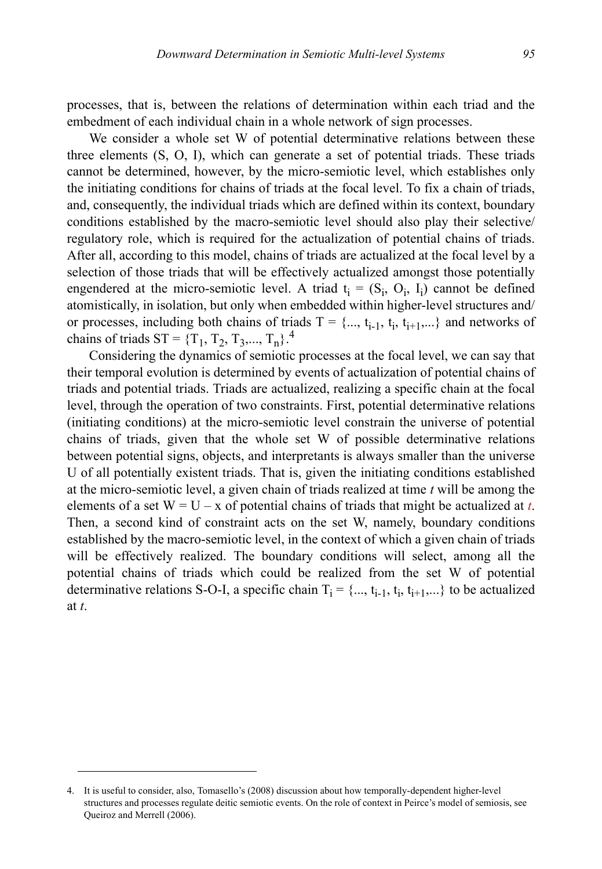processes, that is, between the relations of determination within each triad and the embedment of each individual chain in a whole network of sign processes.

We consider a whole set W of potential determinative relations between these three elements (S, O, I), which can generate a set of potential triads. These triads cannot be determined, however, by the micro-semiotic level, which establishes only the initiating conditions for chains of triads at the focal level. To fix a chain of triads, and, consequently, the individual triads which are defined within its context, boundary conditions established by the macro-semiotic level should also play their selective/ regulatory role, which is required for the actualization of potential chains of triads. After all, according to this model, chains of triads are actualized at the focal level by a selection of those triads that will be effectively actualized amongst those potentially engendered at the micro-semiotic level. A triad  $t_i = (S_i, O_i, I_i)$  cannot be defined atomistically, in isolation, but only when embedded within higher-level structures and/ or processes, including both chains of triads  $T = \{..., t_{i-1}, t_i, t_{i+1}, ...\}$  and networks of chains of triads ST =  ${T_1, T_2, T_3,..., T_n}$ .<sup>4</sup>

Considering the dynamics of semiotic processes at the focal level, we can say that their temporal evolution is determined by events of actualization of potential chains of triads and potential triads. Triads are actualized, realizing a specific chain at the focal level, through the operation of two constraints. First, potential determinative relations (initiating conditions) at the micro-semiotic level constrain the universe of potential chains of triads, given that the whole set W of possible determinative relations between potential signs, objects, and interpretants is always smaller than the universe U of all potentially existent triads. That is, given the initiating conditions established at the micro-semiotic level, a given chain of triads realized at time *t* will be among the elements of a set  $W = U - x$  of potential chains of triads that might be actualized at *t*. Then, a second kind of constraint acts on the set W, namely, boundary conditions established by the macro-semiotic level, in the context of which a given chain of triads will be effectively realized. The boundary conditions will select, among all the potential chains of triads which could be realized from the set W of potential determinative relations S-O-I, a specific chain  $T_i = \{..., t_{i-1}, t_i, t_{i+1},...\}$  to be actualized at *t*.

<sup>4.</sup> It is useful to consider, also, Tomasello's (2008) discussion about how temporally-dependent higher-level structures and processes regulate deitic semiotic events. On the role of context in Peirce's model of semiosis, see Queiroz and Merrell (2006).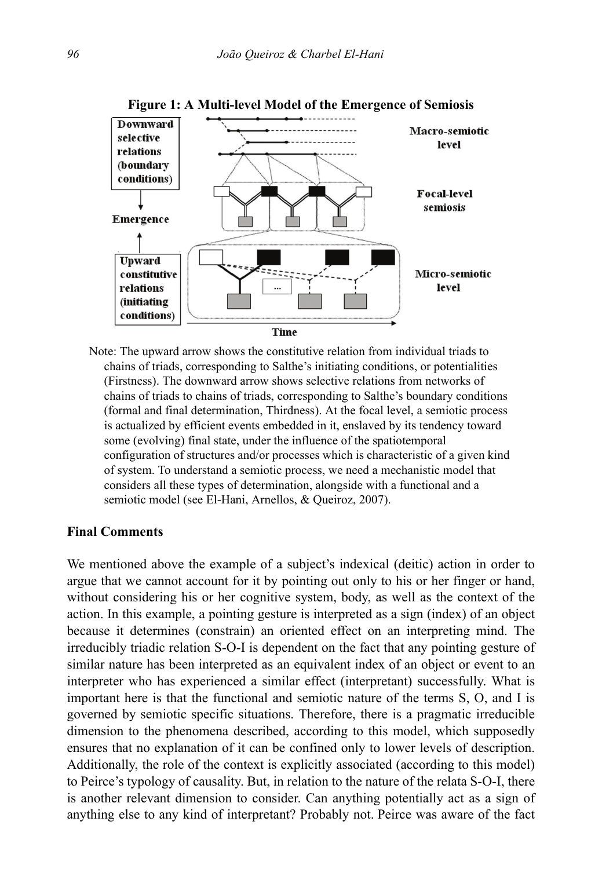

**Figure 1: A Multi-level Model of the Emergence of Semiosis**

Note: The upward arrow shows the constitutive relation from individual triads to chains of triads, corresponding to Salthe's initiating conditions, or potentialities (Firstness). The downward arrow shows selective relations from networks of chains of triads to chains of triads, corresponding to Salthe's boundary conditions (formal and final determination, Thirdness). At the focal level, a semiotic process is actualized by efficient events embedded in it, enslaved by its tendency toward some (evolving) final state, under the influence of the spatiotemporal configuration of structures and/or processes which is characteristic of a given kind of system. To understand a semiotic process, we need a mechanistic model that considers all these types of determination, alongside with a functional and a semiotic model (see El-Hani, Arnellos, & Queiroz, 2007).

## **Final Comments**

We mentioned above the example of a subject's indexical (deitic) action in order to argue that we cannot account for it by pointing out only to his or her finger or hand, without considering his or her cognitive system, body, as well as the context of the action. In this example, a pointing gesture is interpreted as a sign (index) of an object because it determines (constrain) an oriented effect on an interpreting mind. The irreducibly triadic relation S-O-I is dependent on the fact that any pointing gesture of similar nature has been interpreted as an equivalent index of an object or event to an interpreter who has experienced a similar effect (interpretant) successfully. What is important here is that the functional and semiotic nature of the terms S, O, and I is governed by semiotic specific situations. Therefore, there is a pragmatic irreducible dimension to the phenomena described, according to this model, which supposedly ensures that no explanation of it can be confined only to lower levels of description. Additionally, the role of the context is explicitly associated (according to this model) to Peirce's typology of causality. But, in relation to the nature of the relata S-O-I, there is another relevant dimension to consider. Can anything potentially act as a sign of anything else to any kind of interpretant? Probably not. Peirce was aware of the fact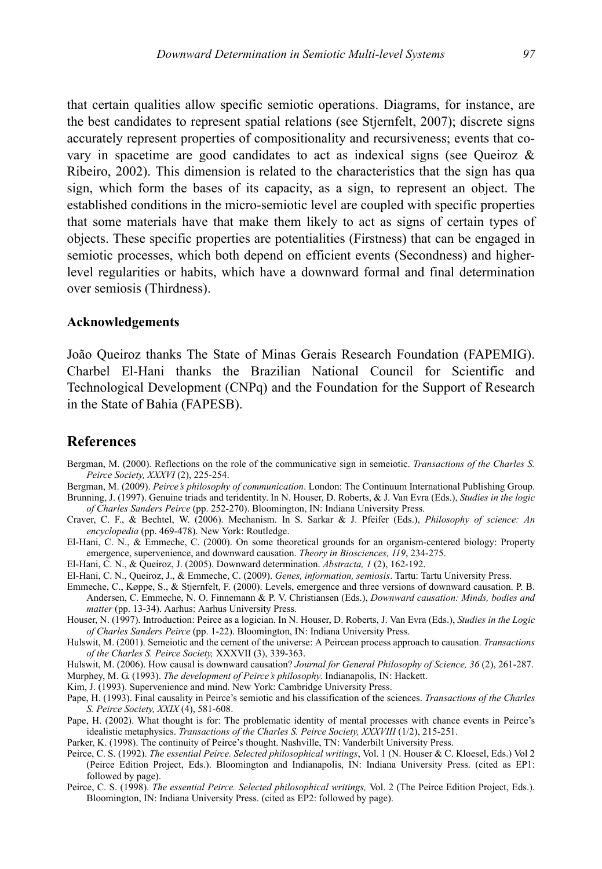that certain qualities allow specific semiotic operations. Diagrams, for instance, are the best candidates to represent spatial relations (see Stjernfelt, 2007); discrete signs accurately represent properties of compositionality and recursiveness; events that covary in spacetime are good candidates to act as indexical signs (see Queiroz & Ribeiro, 2002). This dimension is related to the characteristics that the sign has qua sign, which form the bases of its capacity, as a sign, to represent an object. The established conditions in the micro-semiotic level are coupled with specific properties that some materials have that make them likely to act as signs of certain types of objects. These specific properties are potentialities (Firstness) that can be engaged in semiotic processes, which both depend on efficient events (Secondness) and higherlevel regularities or habits, which have a downward formal and final determination over semiosis (Thirdness).

#### **Acknowledgements**

João Queiroz thanks The State of Minas Gerais Research Foundation (FAPEMIG). Charbel El-Hani thanks the Brazilian National Council for Scientific and Technological Development (CNPq) and the Foundation for the Support of Research in the State of Bahia (FAPESB).

# **References**

- Bergman, M. (2000). Reflections on the role of the communicative sign in semeiotic. *Transactions of the Charles S. Peirce Society, XXXVI* (2), 225-254.
- Bergman, M. (2009). *Peirce's philosophy of communication*. London: The Continuum International Publishing Group. Brunning, J. (1997). Genuine triads and teridentity. In N. Houser, D. Roberts, & J. Van Evra (Eds.), *Studies in the logic of Charles Sanders Peirce* (pp. 252-270). Bloomington, IN: Indiana University Press.
- Craver, C. F., & Bechtel, W. (2006). Mechanism. In S. Sarkar & J. Pfeifer (Eds.), *Philosophy of science: An encyclopedia* (pp. 469-478). New York: Routledge.
- El-Hani, C. N., & Emmeche, C. (2000). On some theoretical grounds for an organism-centered biology: Property emergence, supervenience, and downward causation. *Theory in Biosciences, 119*, 234-275.
- El-Hani, C. N., & Queiroz, J. (2005). Downward determination. *Abstracta, 1* (2), 162-192.
- El-Hani, C. N., Queiroz, J., & Emmeche, C. (2009). *Genes, information, semiosis*. Tartu: Tartu University Press.
- Emmeche, C., Køppe, S., & Stjernfelt, F. (2000). Levels, emergence and three versions of downward causation. P. B. Andersen, C. Emmeche, N. O. Finnemann & P. V. Christiansen (Eds.), *Downward causation: Minds, bodies and matter* (pp. 13-34). Aarhus: Aarhus University Press.
- Houser, N. (1997). Introduction: Peirce as a logician. In N. Houser, D. Roberts, J. Van Evra (Eds.), *Studies in the Logic of Charles Sanders Peirce* (pp. 1-22). Bloomington, IN: Indiana University Press.
- Hulswit, M. (2001). Semeiotic and the cement of the universe: A Peircean process approach to causation. *Transactions of the Charles S. Peirce Society,* XXXVII (3), 339-363.
- Hulswit, M. (2006). How causal is downward causation? *Journal for General Philosophy of Science, 36* (2), 261-287.
- Murphey, M. G. (1993). *The development of Peirce's philosophy*. Indianapolis, IN: Hackett.
- Kim, J. (1993). Supervenience and mind. New York: Cambridge University Press.
- Pape, H. (1993). Final causality in Peirce's semiotic and his classification of the sciences. *Transactions of the Charles S. Peirce Society, XXIX* (4), 581-608.
- Pape, H. (2002). What thought is for: The problematic identity of mental processes with chance events in Peirce's idealistic metaphysics. *Transactions of the Charles S. Peirce Society, XXXVIII* (1/2), 215-251.
- Parker, K. (1998). The continuity of Peirce's thought. Nashville, TN: Vanderbilt University Press.
- Peirce, C. S. (1992). *The essential Peirce. Selected philosophical writings*, Vol. 1 (N. Houser & C. Kloesel, Eds.) Vol 2 (Peirce Edition Project, Eds.). Bloomington and Indianapolis, IN: Indiana University Press. (cited as EP1: followed by page).
- Peirce, C. S. (1998). *The essential Peirce. Selected philosophical writings,* Vol. 2 (The Peirce Edition Project, Eds.). Bloomington, IN: Indiana University Press. (cited as EP2: followed by page).